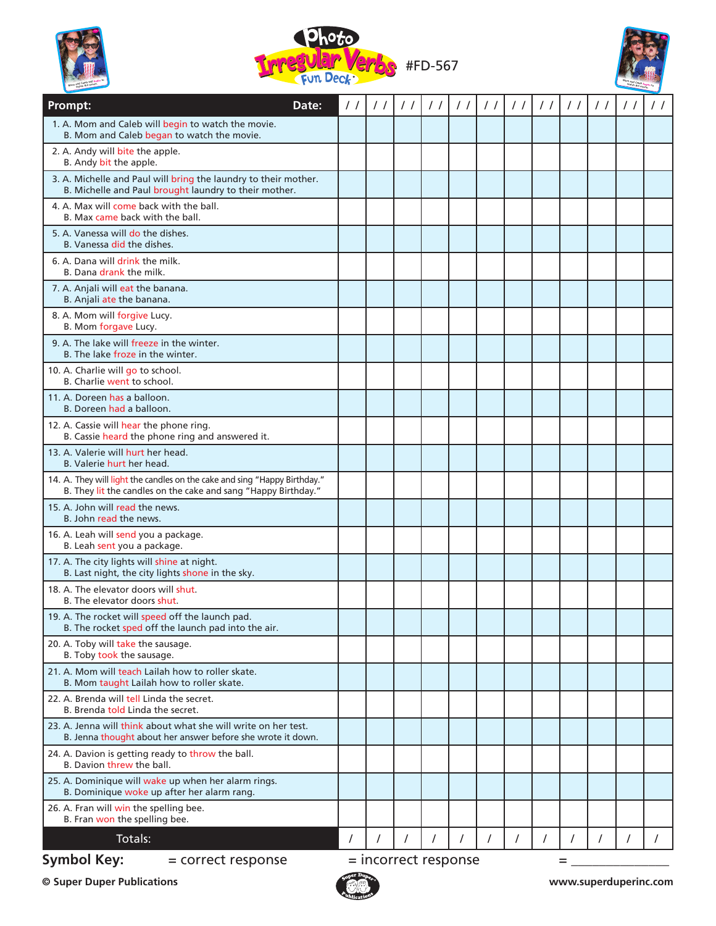





| Prompt:<br>Date:                                                                                                                            | $\prime$ | $\prime$ / | $\frac{1}{2}$        | $\frac{1}{2}$ | $\prime$ / | $\frac{1}{2}$ | $\frac{1}{2}$ | $\frac{1}{2}$ | $\frac{1}{2}$ | $\frac{1}{2}$ | $\frac{1}{2}$ | $\frac{1}{2}$ |
|---------------------------------------------------------------------------------------------------------------------------------------------|----------|------------|----------------------|---------------|------------|---------------|---------------|---------------|---------------|---------------|---------------|---------------|
| 1. A. Mom and Caleb will begin to watch the movie.<br>B. Mom and Caleb began to watch the movie.                                            |          |            |                      |               |            |               |               |               |               |               |               |               |
| 2. A. Andy will bite the apple.<br>B. Andy bit the apple.                                                                                   |          |            |                      |               |            |               |               |               |               |               |               |               |
| 3. A. Michelle and Paul will bring the laundry to their mother.<br>B. Michelle and Paul brought laundry to their mother.                    |          |            |                      |               |            |               |               |               |               |               |               |               |
| 4. A. Max will come back with the ball.<br>B. Max came back with the ball.                                                                  |          |            |                      |               |            |               |               |               |               |               |               |               |
| 5. A. Vanessa will do the dishes.<br>B. Vanessa did the dishes.                                                                             |          |            |                      |               |            |               |               |               |               |               |               |               |
| 6. A. Dana will drink the milk.<br>B. Dana drank the milk.                                                                                  |          |            |                      |               |            |               |               |               |               |               |               |               |
| 7. A. Anjali will eat the banana.<br>B. Anjali ate the banana.                                                                              |          |            |                      |               |            |               |               |               |               |               |               |               |
| 8. A. Mom will forgive Lucy.<br>B. Mom forgave Lucy.                                                                                        |          |            |                      |               |            |               |               |               |               |               |               |               |
| 9. A. The lake will freeze in the winter.<br>B. The lake froze in the winter.                                                               |          |            |                      |               |            |               |               |               |               |               |               |               |
| 10. A. Charlie will go to school.<br>B. Charlie went to school.                                                                             |          |            |                      |               |            |               |               |               |               |               |               |               |
| 11. A. Doreen has a balloon.<br>B. Doreen had a balloon.                                                                                    |          |            |                      |               |            |               |               |               |               |               |               |               |
| 12. A. Cassie will hear the phone ring.<br>B. Cassie heard the phone ring and answered it.                                                  |          |            |                      |               |            |               |               |               |               |               |               |               |
| 13. A. Valerie will hurt her head.<br>B. Valerie hurt her head.                                                                             |          |            |                      |               |            |               |               |               |               |               |               |               |
| 14. A. They will light the candles on the cake and sing "Happy Birthday."<br>B. They lit the candles on the cake and sang "Happy Birthday." |          |            |                      |               |            |               |               |               |               |               |               |               |
| 15. A. John will read the news.<br>B. John read the news.                                                                                   |          |            |                      |               |            |               |               |               |               |               |               |               |
| 16. A. Leah will send you a package.<br>B. Leah sent you a package.                                                                         |          |            |                      |               |            |               |               |               |               |               |               |               |
| 17. A. The city lights will shine at night.<br>B. Last night, the city lights shone in the sky.                                             |          |            |                      |               |            |               |               |               |               |               |               |               |
| 18. A. The elevator doors will shut.<br>B. The elevator doors shut.                                                                         |          |            |                      |               |            |               |               |               |               |               |               |               |
| 19. A. The rocket will speed off the launch pad.<br>B. The rocket sped off the launch pad into the air.                                     |          |            |                      |               |            |               |               |               |               |               |               |               |
| 20. A. Toby will take the sausage.<br>B. Toby took the sausage.                                                                             |          |            |                      |               |            |               |               |               |               |               |               |               |
| 21. A. Mom will teach Lailah how to roller skate.<br>B. Mom taught Lailah how to roller skate.                                              |          |            |                      |               |            |               |               |               |               |               |               |               |
| 22. A. Brenda will tell Linda the secret.<br>B. Brenda told Linda the secret.                                                               |          |            |                      |               |            |               |               |               |               |               |               |               |
| 23. A. Jenna will think about what she will write on her test.<br>B. Jenna thought about her answer before she wrote it down.               |          |            |                      |               |            |               |               |               |               |               |               |               |
| 24. A. Davion is getting ready to throw the ball.<br>B. Davion threw the ball.                                                              |          |            |                      |               |            |               |               |               |               |               |               |               |
| 25. A. Dominique will wake up when her alarm rings.<br>B. Dominique woke up after her alarm rang.                                           |          |            |                      |               |            |               |               |               |               |               |               |               |
| 26. A. Fran will win the spelling bee.<br>B. Fran won the spelling bee.                                                                     |          |            |                      |               |            |               |               |               |               |               |               |               |
| Totals:                                                                                                                                     |          |            |                      |               | $\prime$   |               | 7             | $\prime$      |               |               |               |               |
| <b>Symbol Key:</b><br>= correct response                                                                                                    |          |            | = incorrect response |               |            |               |               |               | =             |               |               |               |